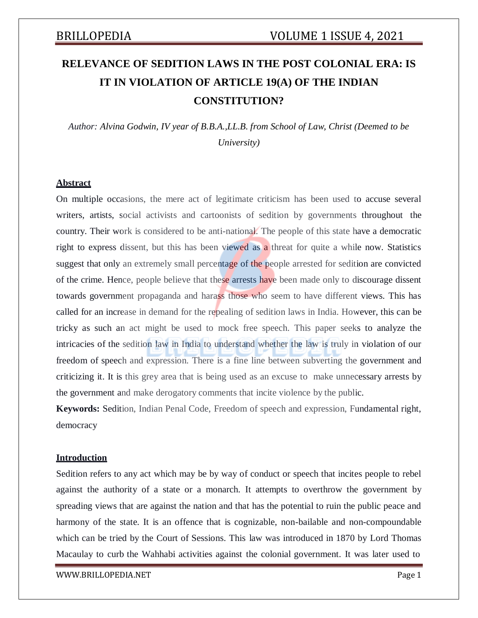# **RELEVANCE OF SEDITION LAWS IN THE POST COLONIAL ERA: IS IT IN VIOLATION OF ARTICLE 19(A) OF THE INDIAN CONSTITUTION?**

*Author: Alvina Godwin, IV year of B.B.A.,LL.B. from School of Law, Christ (Deemed to be University)*

### **Abstract**

On multiple occasions, the mere act of legitimate criticism has been used to accuse several writers, artists, social activists and cartoonists of sedition by governments throughout the country. Their work is considered to be anti-national. The people of this state have a democratic right to express dissent, but this has been viewed as a threat for quite a while now. Statistics suggest that only an extremely small percentage of the people arrested for sedition are convicted of the crime. Hence, people believe that these arrests have been made only to discourage dissent towards government propaganda and harass those who seem to have different views. This has called for an increase in demand for the repealing of sedition laws in India. However, this can be tricky as such an act might be used to mock free speech. This paper seeks to analyze the intricacies of the sedition law in India to understand whether the law is truly in violation of our freedom of speech and expression. There is a fine line between subverting the government and criticizing it. It is this grey area that is being used as an excuse to make unnecessary arrests by the government and make derogatory comments that incite violence by the public.

**Keywords:** Sedition, Indian Penal Code, Freedom of speech and expression, Fundamental right, democracy

#### **Introduction**

Sedition refers to any act which may be by way of conduct or speech that incites people to rebel against the authority of a state or a monarch. It attempts to overthrow the government by spreading views that are against the nation and that has the potential to ruin the public peace and harmony of the state. It is an offence that is cognizable, non-bailable and non-compoundable which can be tried by the Court of Sessions. This law was introduced in 1870 by Lord Thomas Macaulay to curb the Wahhabi activities against the colonial government. It was later used to

[WWW.BRILLOPEDIA.NET](http://www.brillopedia.net/)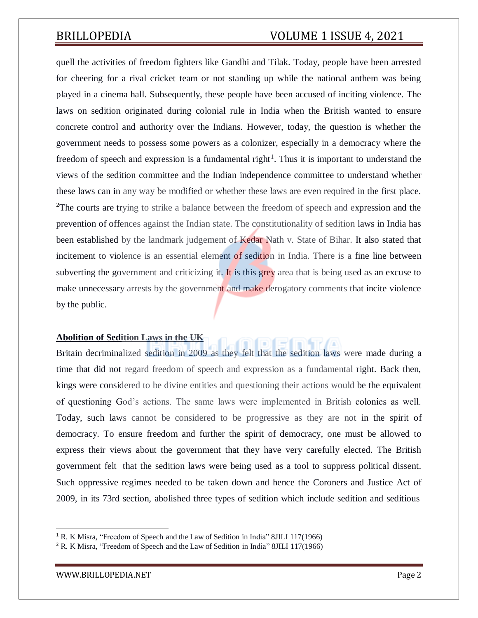## BRILLOPEDIA VOLUME 1 ISSUE 4, 2021

quell the activities of freedom fighters like Gandhi and Tilak. Today, people have been arrested for cheering for a rival cricket team or not standing up while the national anthem was being played in a cinema hall. Subsequently, these people have been accused of inciting violence. The laws on sedition originated during colonial rule in India when the British wanted to ensure concrete control and authority over the Indians. However, today, the question is whether the government needs to possess some powers as a colonizer, especially in a democracy where the freedom of speech and expression is a fundamental right<sup>1</sup>. Thus it is important to understand the views of the sedition committee and the Indian independence committee to understand whether these laws can in any way be modified or whether these laws are even required in the first place. <sup>2</sup>The courts are trying to strike a balance between the freedom of speech and expression and the prevention of offences against the Indian state. The constitutionality of sedition laws in India has been established by the landmark judgement of Kedar Nath v. State of Bihar. It also stated that incitement to violence is an essential element of sedition in India. There is a fine line between subverting the government and criticizing it. It is this grey area that is being used as an excuse to make unnecessary arrests by the government and make derogatory comments that incite violence by the public.

### **Abolition of Sedition Laws in the UK**

Britain decriminalized sedition in 2009 as they felt that the sedition laws were made during a time that did not regard freedom of speech and expression as a fundamental right. Back then, kings were considered to be divine entities and questioning their actions would be the equivalent of questioning God's actions. The same laws were implemented in British colonies as well. Today, such laws cannot be considered to be progressive as they are not in the spirit of democracy. To ensure freedom and further the spirit of democracy, one must be allowed to express their views about the government that they have very carefully elected. The British government felt that the sedition laws were being used as a tool to suppress political dissent. Such oppressive regimes needed to be taken down and hence the Coroners and Justice Act of 2009, in its 73rd section, abolished three types of sedition which include sedition and seditious

<sup>&</sup>lt;sup>1</sup> R. K Misra, "Freedom of Speech and the Law of Sedition in India" 8JILI 117(1966)

<sup>2</sup> R. K Misra, "Freedom of Speech and the Law of Sedition in India" 8JILI 117(1966)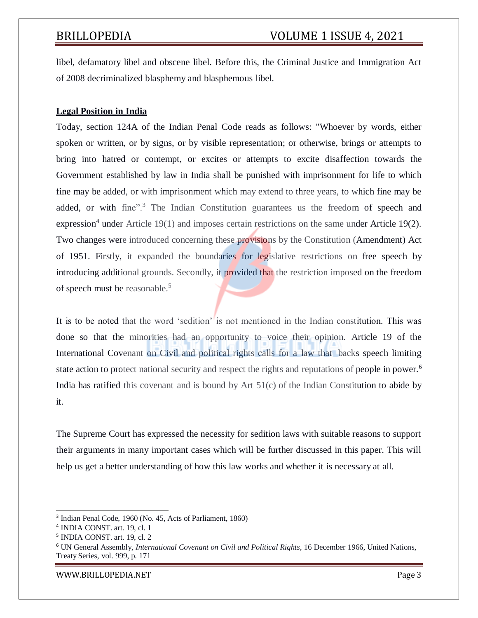libel, defamatory libel and obscene libel. Before this, the Criminal Justice and Immigration Act of 2008 decriminalized blasphemy and blasphemous libel.

### **Legal Position in India**

Today, section 124A of the Indian Penal Code reads as follows: "Whoever by words, either spoken or written, or by signs, or by visible representation; or otherwise, brings or attempts to bring into hatred or contempt, or excites or attempts to excite disaffection towards the Government established by law in India shall be punished with imprisonment for life to which fine may be added, or with imprisonment which may extend to three years, to which fine may be added, or with fine".<sup>3</sup> The Indian Constitution guarantees us the freedom of speech and expression<sup>4</sup> under Article 19(1) and imposes certain restrictions on the same under Article 19(2). Two changes were introduced concerning these provisions by the Constitution (Amendment) Act of 1951. Firstly, it expanded the boundaries for legislative restrictions on free speech by introducing additional grounds. Secondly, it provided that the restriction imposed on the freedom of speech must be reasonable.<sup>5</sup>

It is to be noted that the word 'sedition' is not mentioned in the Indian constitution. This was done so that the minorities had an opportunity to voice their opinion. Article 19 of the International Covenant on Civil and political rights calls for a law that backs speech limiting state action to protect national security and respect the rights and reputations of people in power.<sup>6</sup> India has ratified this covenant and is bound by Art 51(c) of the Indian Constitution to abide by it.

The Supreme Court has expressed the necessity for sedition laws with suitable reasons to support their arguments in many important cases which will be further discussed in this paper. This will help us get a better understanding of how this law works and whether it is necessary at all.

[WWW.BRILLOPEDIA.NET](http://www.brillopedia.net/) Page 3

<sup>3</sup> Indian Penal Code, 1960 (No. 45, Acts of Parliament, 1860)

<sup>4</sup> INDIA CONST. art. 19, cl. 1

<sup>5</sup> INDIA CONST. art. 19, cl. 2

<sup>6</sup> UN General Assembly, *International Covenant on Civil and Political Rights*, 16 December 1966, United Nations, Treaty Series, vol. 999, p. 171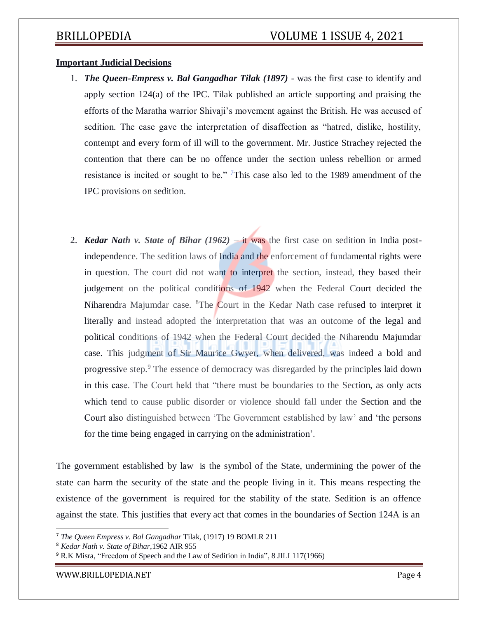### **Important Judicial Decisions**

- 1. *The Queen-Empress v. Bal Gangadhar Tilak (1897)* was the first case to identify and apply section 124(a) of the IPC. Tilak published an article supporting and praising the efforts of the Maratha warrior Shivaji's movement against the British. He was accused of sedition. The case gave the interpretation of disaffection as "hatred, dislike, hostility, contempt and every form of ill will to the government. Mr. Justice Strachey rejected the contention that there can be no offence under the section unless rebellion or armed resistance is incited or sought to be." This case also led to the 1989 amendment of the IPC provisions on sedition.
- 2. *Kedar Nath v. State of Bihar (1962)* it was the first case on sedition in India postindependence. The sedition laws of India and the enforcement of fundamental rights were in question. The court did not want to interpret the section, instead, they based their judgement on the political conditions of 1942 when the Federal Court decided the Niharendra Majumdar case. <sup>8</sup>The Court in the Kedar Nath case refused to interpret it literally and instead adopted the interpretation that was an outcome of the legal and political conditions of 1942 when the Federal Court decided the Niharendu Majumdar case. This judgment of Sir Maurice Gwyer, when delivered, was indeed a bold and progressive step.<sup>9</sup> The essence of democracy was disregarded by the principles laid down in this case. The Court held that "there must be boundaries to the Section, as only acts which tend to cause public disorder or violence should fall under the Section and the Court also distinguished between 'The Government established by law' and 'the persons for the time being engaged in carrying on the administration'.

The government established by law is the symbol of the State, undermining the power of the state can harm the security of the state and the people living in it. This means respecting the existence of the government is required for the stability of the state. Sedition is an offence against the state. This justifies that every act that comes in the boundaries of Section 124A is an

[WWW.BRILLOPEDIA.NET](http://www.brillopedia.net/)

<sup>7</sup> *The Queen Empress v. Bal Gangadhar* Tilak, (1917) 19 BOMLR 211

<sup>8</sup> *Kedar Nath v. State of Bihar*,1962 AIR 955

<sup>&</sup>lt;sup>9</sup> R.K Misra, "Freedom of Speech and the Law of Sedition in India", 8 JILI 117(1966)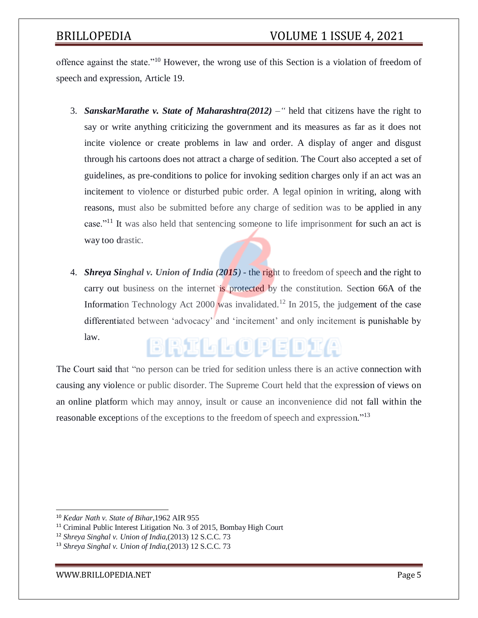offence against the state."<sup>10</sup> However, the wrong use of this Section is a violation of freedom of speech and expression, Article 19.

- 3. *SanskarMarathe v. State of Maharashtra(2012)* " held that citizens have the right to say or write anything criticizing the government and its measures as far as it does not incite violence or create problems in law and order. A display of anger and disgust through his cartoons does not attract a charge of sedition. The Court also accepted a set of guidelines, as pre-conditions to police for invoking sedition charges only if an act was an incitement to violence or disturbed pubic order. A legal opinion in writing, along with reasons, must also be submitted before any charge of sedition was to be applied in any case."<sup>11</sup> It was also held that sentencing someone to life imprisonment for such an act is way too drastic.
- 4. *Shreya Singhal v. Union of India (2015)*  the right to freedom of speech and the right to carry out business on the internet is protected by the constitution. Section 66A of the Information Technology Act 2000 was invalidated.<sup>12</sup> In 2015, the judgement of the case differentiated between 'advocacy' and 'incitement' and only incitement is punishable by law. BRILLOPEDIA

The Court said that "no person can be tried for sedition unless there is an active connection with causing any violence or public disorder. The Supreme Court held that the expression of views on an online platform which may annoy, insult or cause an inconvenience did not fall within the reasonable exceptions of the exceptions to the freedom of speech and expression."<sup>13</sup>

[WWW.BRILLOPEDIA.NET](http://www.brillopedia.net/)

<sup>10</sup> *Kedar Nath v. State of Bihar*,1962 AIR 955

<sup>11</sup> Criminal Public Interest Litigation No. 3 of 2015, Bombay High Court

<sup>12</sup> *Shreya Singhal v. Union of India*,(2013) 12 S.C.C. 73

<sup>13</sup> *Shreya Singhal v. Union of India*,(2013) 12 S.C.C. 73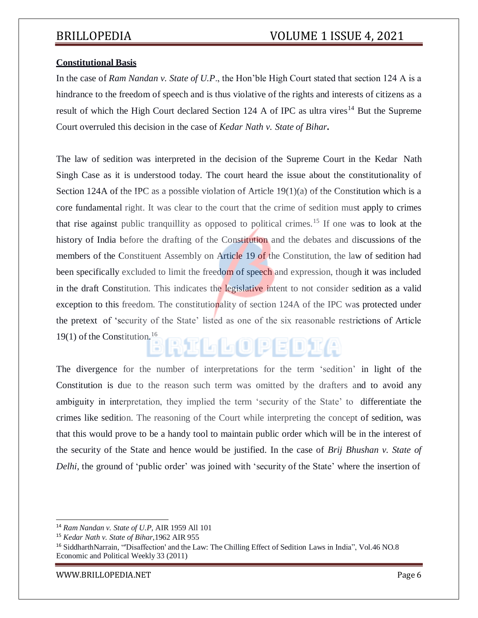### **Constitutional Basis**

In the case of *Ram Nandan v. State of U.P*., the Hon'ble High Court stated that section 124 A is a hindrance to the freedom of speech and is thus violative of the rights and interests of citizens as a result of which the High Court declared Section 124 A of IPC as ultra vires<sup>14</sup> But the Supreme Court overruled this decision in the case of *Kedar Nath v. State of Bihar***.**

The law of sedition was interpreted in the decision of the Supreme Court in the Kedar Nath Singh Case as it is understood today. The court heard the issue about the constitutionality of Section 124A of the IPC as a possible violation of Article 19(1)(a) of the Constitution which is a core fundamental right. It was clear to the court that the crime of sedition must apply to crimes that rise against public tranquillity as opposed to political crimes.<sup>15</sup> If one was to look at the history of India before the drafting of the Constitution and the debates and discussions of the members of the Constituent Assembly on Article 19 of the Constitution, the law of sedition had been specifically excluded to limit the freedom of speech and expression, though it was included in the draft Constitution. This indicates the legislative intent to not consider sedition as a valid exception to this freedom. The constitutionality of section 124A of the IPC was protected under the pretext of 'security of the State' listed as one of the six reasonable restrictions of Article 19(1) of the Constitution.<sup>16</sup> RILLOPEDIA

The divergence for the number of interpretations for the term 'sedition' in light of the Constitution is due to the reason such term was omitted by the drafters and to avoid any ambiguity in interpretation, they implied the term 'security of the State' to differentiate the crimes like sedition. The reasoning of the Court while interpreting the concept of sedition, was that this would prove to be a handy tool to maintain public order which will be in the interest of the security of the State and hence would be justified. In the case of *Brij Bhushan v. State of Delhi*, the ground of 'public order' was joined with 'security of the State' where the insertion of

[WWW.BRILLOPEDIA.NET](http://www.brillopedia.net/) Page 6

<sup>14</sup> *Ram Nandan v. State of U.P*, AIR 1959 All 101

<sup>15</sup> *Kedar Nath v. State of Bihar*,1962 AIR 955

<sup>16</sup> SiddharthNarrain, "'Disaffection' and the Law: The Chilling Effect of Sedition Laws in India", Vol.46 NO.8 Economic and Political Weekly 33 (2011)